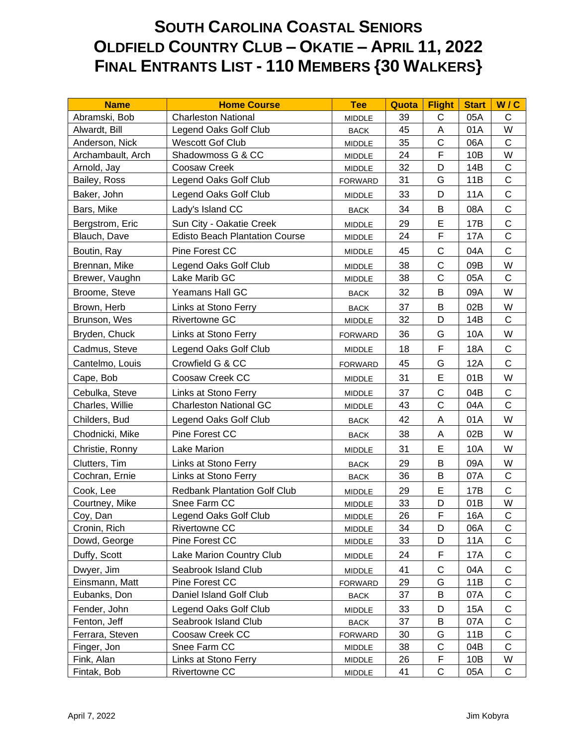## **SOUTH CAROLINA COASTAL SENIORS OLDFIELD COUNTRY CLUB – OKATIE – APRIL 11, 2022 FINAL ENTRANTS LIST - 110 MEMBERS {30 WALKERS}**

| <b>Name</b>       | <b>Home Course</b>                    | <b>Tee</b>     | Quota | <b>Flight</b> | <b>Start</b> | W/C          |
|-------------------|---------------------------------------|----------------|-------|---------------|--------------|--------------|
| Abramski, Bob     | <b>Charleston National</b>            | <b>MIDDLE</b>  | 39    | $\mathsf{C}$  | 05A          | $\mathsf{C}$ |
| Alwardt, Bill     | Legend Oaks Golf Club                 | <b>BACK</b>    | 45    | A             | 01A          | W            |
| Anderson, Nick    | <b>Wescott Gof Club</b>               | <b>MIDDLE</b>  | 35    | $\mathsf C$   | 06A          | $\mathsf C$  |
| Archambault, Arch | Shadowmoss G & CC                     | <b>MIDDLE</b>  | 24    | F             | 10B          | W            |
| Arnold, Jay       | Coosaw Creek                          | <b>MIDDLE</b>  | 32    | D             | 14B          | $\mathsf C$  |
| Bailey, Ross      | Legend Oaks Golf Club                 | <b>FORWARD</b> | 31    | G             | 11B          | $\mathsf{C}$ |
| Baker, John       | Legend Oaks Golf Club                 | MIDDLE         | 33    | D             | <b>11A</b>   | $\mathsf C$  |
| Bars, Mike        | Lady's Island CC                      | <b>BACK</b>    | 34    | B             | 08A          | $\mathsf{C}$ |
| Bergstrom, Eric   | Sun City - Oakatie Creek              | <b>MIDDLE</b>  | 29    | E             | 17B          | $\mathsf C$  |
| Blauch, Dave      | <b>Edisto Beach Plantation Course</b> | <b>MIDDLE</b>  | 24    | F             | 17A          | $\mathsf{C}$ |
| Boutin, Ray       | Pine Forest CC                        | <b>MIDDLE</b>  | 45    | $\mathsf C$   | 04A          | $\mathsf C$  |
| Brennan, Mike     | Legend Oaks Golf Club                 | <b>MIDDLE</b>  | 38    | $\mathsf{C}$  | 09B          | W            |
| Brewer, Vaughn    | Lake Marib GC                         | <b>MIDDLE</b>  | 38    | $\mathsf{C}$  | 05A          | $\mathsf{C}$ |
| Broome, Steve     | <b>Yeamans Hall GC</b>                | <b>BACK</b>    | 32    | B             | 09A          | W            |
| Brown, Herb       | Links at Stono Ferry                  | <b>BACK</b>    | 37    | B             | 02B          | W            |
| Brunson, Wes      | <b>Rivertowne GC</b>                  | <b>MIDDLE</b>  | 32    | D             | 14B          | C            |
| Bryden, Chuck     | Links at Stono Ferry                  | <b>FORWARD</b> | 36    | G             | 10A          | W            |
| Cadmus, Steve     | Legend Oaks Golf Club                 | MIDDLE         | 18    | F             | 18A          | $\mathsf C$  |
| Cantelmo, Louis   | Crowfield G & CC                      | <b>FORWARD</b> | 45    | G             | <b>12A</b>   | C            |
| Cape, Bob         | Coosaw Creek CC                       | <b>MIDDLE</b>  | 31    | E             | 01B          | W            |
| Cebulka, Steve    | Links at Stono Ferry                  | <b>MIDDLE</b>  | 37    | $\mathsf C$   | 04B          | $\mathsf C$  |
| Charles, Willie   | <b>Charleston National GC</b>         | <b>MIDDLE</b>  | 43    | $\mathsf{C}$  | 04A          | $\mathsf{C}$ |
| Childers, Bud     | Legend Oaks Golf Club                 | <b>BACK</b>    | 42    | A             | 01A          | W            |
| Chodnicki, Mike   | Pine Forest CC                        | <b>BACK</b>    | 38    | A             | 02B          | W            |
| Christie, Ronny   | <b>Lake Marion</b>                    | <b>MIDDLE</b>  | 31    | E             | 10A          | W            |
| Clutters, Tim     | Links at Stono Ferry                  | <b>BACK</b>    | 29    | B             | 09A          | W            |
| Cochran, Ernie    | Links at Stono Ferry                  | <b>BACK</b>    | 36    | B             | 07A          | C            |
| Cook, Lee         | <b>Redbank Plantation Golf Club</b>   | <b>MIDDLE</b>  | 29    | E             | 17B          | $\mathsf{C}$ |
| Courtney, Mike    | Snee Farm CC                          | <b>MIDDLE</b>  | 33    | D             | 01B          | W            |
| Coy, Dan          | Legend Oaks Golf Club                 | <b>MIDDLE</b>  | 26    | F             | 16A          | $\mathsf{C}$ |
| Cronin, Rich      | Rivertowne CC                         | MIDDLE         | 34    | D             | 06A          | C            |
| Dowd, George      | Pine Forest CC                        | MIDDLE         | 33    | D             | 11A          | C            |
| Duffy, Scott      | Lake Marion Country Club              | <b>MIDDLE</b>  | 24    | F             | 17A          | C            |
| Dwyer, Jim        | Seabrook Island Club                  | <b>MIDDLE</b>  | 41    | C             | 04A          | $\mathsf C$  |
| Einsmann, Matt    | Pine Forest CC                        | <b>FORWARD</b> | 29    | G             | 11B          | C            |
| Eubanks, Don      | Daniel Island Golf Club               | <b>BACK</b>    | 37    | B             | 07A          | С            |
| Fender, John      | Legend Oaks Golf Club                 | MIDDLE         | 33    | D             | 15A          | $\mathsf C$  |
| Fenton, Jeff      | Seabrook Island Club                  | <b>BACK</b>    | 37    | Β             | 07A          | C            |
| Ferrara, Steven   | Coosaw Creek CC                       | <b>FORWARD</b> | 30    | G             | 11B          | C            |
| Finger, Jon       | Snee Farm CC                          | MIDDLE         | 38    | C             | 04B          | С            |
| Fink, Alan        | Links at Stono Ferry                  | MIDDLE         | 26    | F             | 10B          | W            |
| Fintak, Bob       | Rivertowne CC                         | <b>MIDDLE</b>  | 41    | $\mathsf C$   | 05A          | C            |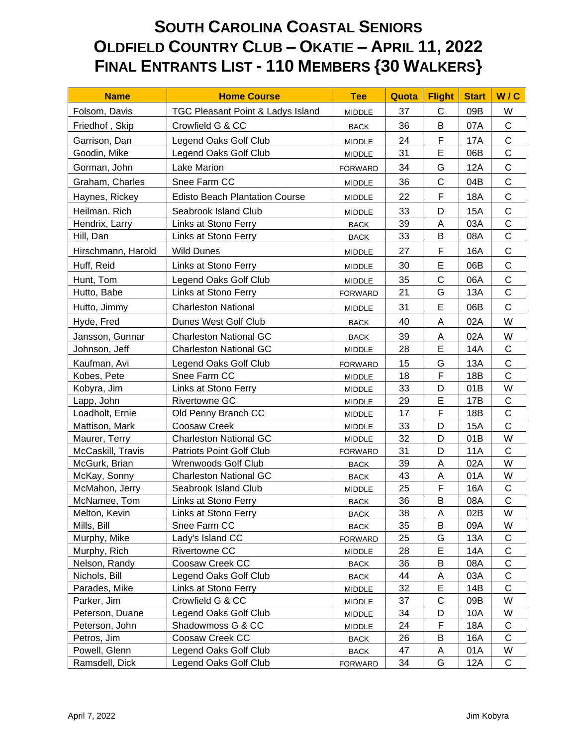## **SOUTH CAROLINA COASTAL SENIORS OLDFIELD COUNTRY CLUB – OKATIE – APRIL 11, 2022 FINAL ENTRANTS LIST - 110 MEMBERS {30 WALKERS}**

| <b>Name</b>        | <b>Home Course</b>                    | <b>Tee</b>      | Quota | <b>Flight</b> | <b>Start</b> | W/C          |
|--------------------|---------------------------------------|-----------------|-------|---------------|--------------|--------------|
| Folsom, Davis      | TGC Pleasant Point & Ladys Island     | <b>MIDDLE</b>   | 37    | C             | 09B          | W            |
| Friedhof, Skip     | Crowfield G & CC                      | <b>BACK</b>     | 36    | B             | 07A          | $\mathsf C$  |
| Garrison, Dan      | Legend Oaks Golf Club                 | <b>MIDDLE</b>   | 24    | F             | <b>17A</b>   | $\mathsf C$  |
| Goodin, Mike       | Legend Oaks Golf Club                 | MIDDLE          | 31    | E             | 06B          | $\mathsf{C}$ |
| Gorman, John       | Lake Marion                           | <b>FORWARD</b>  | 34    | G             | 12A          | $\mathsf C$  |
| Graham, Charles    | Snee Farm CC                          | <b>MIDDLE</b>   | 36    | $\mathsf{C}$  | 04B          | $\mathsf{C}$ |
| Haynes, Rickey     | <b>Edisto Beach Plantation Course</b> | <b>MIDDLE</b>   | 22    | F             | 18A          | $\mathsf C$  |
| Heilman. Rich      | Seabrook Island Club                  | <b>MIDDLE</b>   | 33    | D             | 15A          | $\mathsf C$  |
| Hendrix, Larry     | Links at Stono Ferry                  | <b>BACK</b>     | 39    | Α             | 03A          | $\mathsf{C}$ |
| Hill, Dan          | Links at Stono Ferry                  | $\mathsf{BACK}$ | 33    | B             | 08A          | $\mathsf C$  |
| Hirschmann, Harold | <b>Wild Dunes</b>                     | <b>MIDDLE</b>   | 27    | F             | 16A          | $\mathsf C$  |
| Huff, Reid         | Links at Stono Ferry                  | <b>MIDDLE</b>   | 30    | E             | 06B          | $\mathsf C$  |
| Hunt, Tom          | Legend Oaks Golf Club                 | <b>MIDDLE</b>   | 35    | $\mathsf{C}$  | 06A          | $\mathsf{C}$ |
| Hutto, Babe        | Links at Stono Ferry                  | <b>FORWARD</b>  | 21    | G             | 13A          | $\mathsf C$  |
| Hutto, Jimmy       | <b>Charleston National</b>            | <b>MIDDLE</b>   | 31    | E             | 06B          | $\mathsf{C}$ |
| Hyde, Fred         | Dunes West Golf Club                  | <b>BACK</b>     | 40    | A             | 02A          | W            |
| Jansson, Gunnar    | <b>Charleston National GC</b>         | <b>BACK</b>     | 39    | A             | 02A          | W            |
| Johnson, Jeff      | <b>Charleston National GC</b>         | MIDDLE          | 28    | E             | 14A          | C            |
| Kaufman, Avi       | Legend Oaks Golf Club                 | <b>FORWARD</b>  | 15    | G             | 13A          | $\mathsf{C}$ |
| Kobes, Pete        | Snee Farm CC                          | MIDDLE          | 18    | F             | 18B          | $\mathsf{C}$ |
| Kobyra, Jim        | Links at Stono Ferry                  | <b>MIDDLE</b>   | 33    | D             | 01B          | W            |
| Lapp, John         | <b>Rivertowne GC</b>                  | <b>MIDDLE</b>   | 29    | E             | 17B          | $\mathsf C$  |
| Loadholt, Ernie    | Old Penny Branch CC                   | <b>MIDDLE</b>   | 17    | F             | 18B          | $\mathsf{C}$ |
| Mattison, Mark     | Coosaw Creek                          | <b>MIDDLE</b>   | 33    | D             | 15A          | $\mathsf{C}$ |
| Maurer, Terry      | <b>Charleston National GC</b>         | <b>MIDDLE</b>   | 32    | D             | 01B          | W            |
| McCaskill, Travis  | <b>Patriots Point Golf Club</b>       | <b>FORWARD</b>  | 31    | D             | 11A          | C            |
| McGurk, Brian      | Wrenwoods Golf Club                   | <b>BACK</b>     | 39    | A             | 02A          | W            |
| McKay, Sonny       | <b>Charleston National GC</b>         | <b>BACK</b>     | 43    | A             | 01A          | W            |
| McMahon, Jerry     | Seabrook Island Club                  | <b>MIDDLE</b>   | 25    | F             | 16A          | $\mathsf C$  |
| McNamee, Tom       | Links at Stono Ferry                  | <b>BACK</b>     | 36    | B             | 08A          | $\mathsf{C}$ |
| Melton, Kevin      | Links at Stono Ferry                  | <b>BACK</b>     | 38    | A             | 02B          | W            |
| Mills, Bill        | Snee Farm CC                          | <b>BACK</b>     | 35    | B             | 09A          | W            |
| Murphy, Mike       | Lady's Island CC                      | <b>FORWARD</b>  | 25    | G             | 13A          | C            |
| Murphy, Rich       | Rivertowne CC                         | <b>MIDDLE</b>   | 28    | E             | 14A          | $\mathsf C$  |
| Nelson, Randy      | Coosaw Creek CC                       | <b>BACK</b>     | 36    | B             | 08A          | С            |
| Nichols, Bill      | Legend Oaks Golf Club                 | <b>BACK</b>     | 44    | A             | 03A          | C            |
| Parades, Mike      | Links at Stono Ferry                  | MIDDLE          | 32    | E             | 14B          | $\mathsf{C}$ |
| Parker, Jim        | Crowfield G & CC                      | <b>MIDDLE</b>   | 37    | C             | 09B          | W            |
| Peterson, Duane    | Legend Oaks Golf Club                 | MIDDLE          | 34    | D             | 10A          | W            |
| Peterson, John     | Shadowmoss G & CC                     | <b>MIDDLE</b>   | 24    | F             | 18A          | C            |
| Petros, Jim        | Coosaw Creek CC                       | <b>BACK</b>     | 26    | B             | 16A          | C            |
| Powell, Glenn      | Legend Oaks Golf Club                 | <b>BACK</b>     | 47    | А             | 01A          | W            |
| Ramsdell, Dick     | Legend Oaks Golf Club                 | <b>FORWARD</b>  | 34    | G             | 12A          | C            |